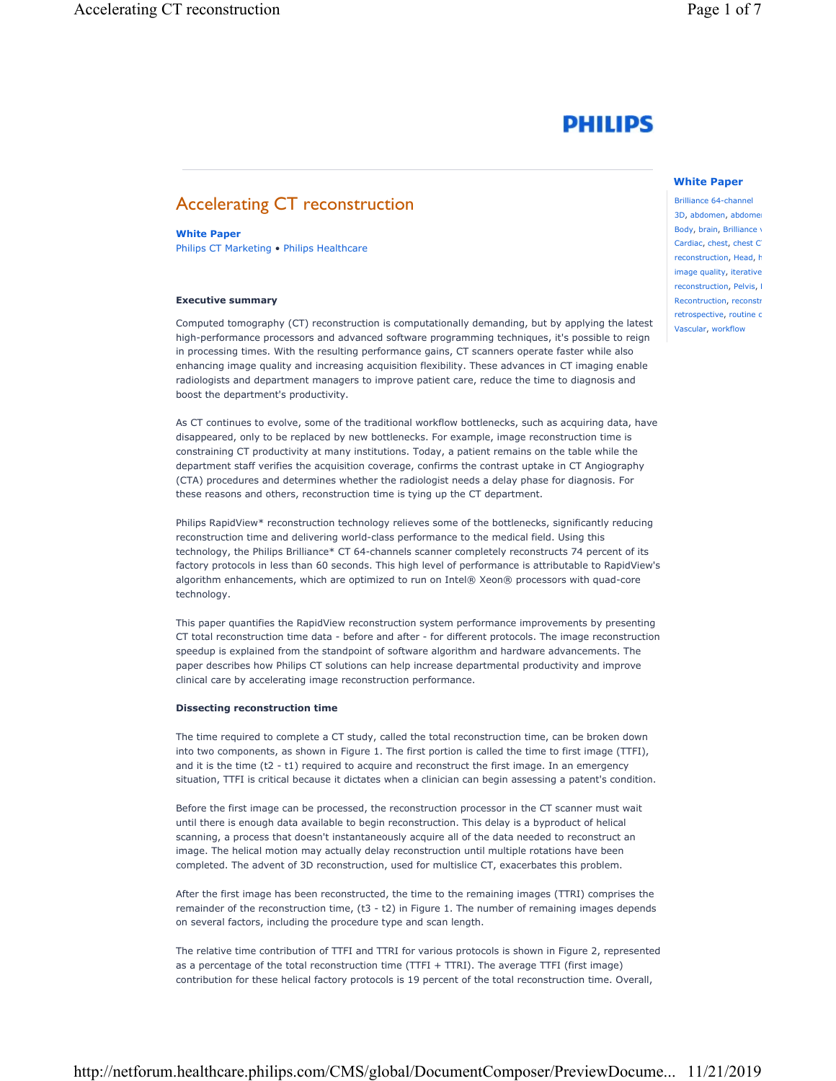# **PHILIPS**

## Accelerating CT reconstruction

White Paper Philips CT Marketing • Philips Healthcare

#### Executive summary

Computed tomography (CT) reconstruction is computationally demanding, but by applying the latest high-performance processors and advanced software programming techniques, it's possible to reign in processing times. With the resulting performance gains, CT scanners operate faster while also enhancing image quality and increasing acquisition flexibility. These advances in CT imaging enable radiologists and department managers to improve patient care, reduce the time to diagnosis and boost the department's productivity.

As CT continues to evolve, some of the traditional workflow bottlenecks, such as acquiring data, have disappeared, only to be replaced by new bottlenecks. For example, image reconstruction time is constraining CT productivity at many institutions. Today, a patient remains on the table while the department staff verifies the acquisition coverage, confirms the contrast uptake in CT Angiography (CTA) procedures and determines whether the radiologist needs a delay phase for diagnosis. For these reasons and others, reconstruction time is tying up the CT department.

Philips RapidView\* reconstruction technology relieves some of the bottlenecks, significantly reducing reconstruction time and delivering world-class performance to the medical field. Using this technology, the Philips Brilliance\* CT 64-channels scanner completely reconstructs 74 percent of its factory protocols in less than 60 seconds. This high level of performance is attributable to RapidView's algorithm enhancements, which are optimized to run on Intel® Xeon® processors with quad-core technology.

This paper quantifies the RapidView reconstruction system performance improvements by presenting CT total reconstruction time data - before and after - for different protocols. The image reconstruction speedup is explained from the standpoint of software algorithm and hardware advancements. The paper describes how Philips CT solutions can help increase departmental productivity and improve clinical care by accelerating image reconstruction performance.

#### Dissecting reconstruction time

The time required to complete a CT study, called the total reconstruction time, can be broken down into two components, as shown in Figure 1. The first portion is called the time to first image (TTFI), and it is the time (t2 - t1) required to acquire and reconstruct the first image. In an emergency situation, TTFI is critical because it dictates when a clinician can begin assessing a patent's condition.

Before the first image can be processed, the reconstruction processor in the CT scanner must wait until there is enough data available to begin reconstruction. This delay is a byproduct of helical scanning, a process that doesn't instantaneously acquire all of the data needed to reconstruct an image. The helical motion may actually delay reconstruction until multiple rotations have been completed. The advent of 3D reconstruction, used for multislice CT, exacerbates this problem.

After the first image has been reconstructed, the time to the remaining images (TTRI) comprises the remainder of the reconstruction time, (t3 - t2) in Figure 1. The number of remaining images depends on several factors, including the procedure type and scan length.

The relative time contribution of TTFI and TTRI for various protocols is shown in Figure 2, represented as a percentage of the total reconstruction time (TTFI + TTRI). The average TTFI (first image) contribution for these helical factory protocols is 19 percent of the total reconstruction time. Overall,

### White Paper

Brilliance 64-channel 3D, abdomen, abdomen Body, brain, Brilliance v Cardiac, chest, chest C reconstruction, Head, h image quality, iterative reconstruction, Pelvis, I Recontruction, reconstr retrospective, routine ch Vascular, workflow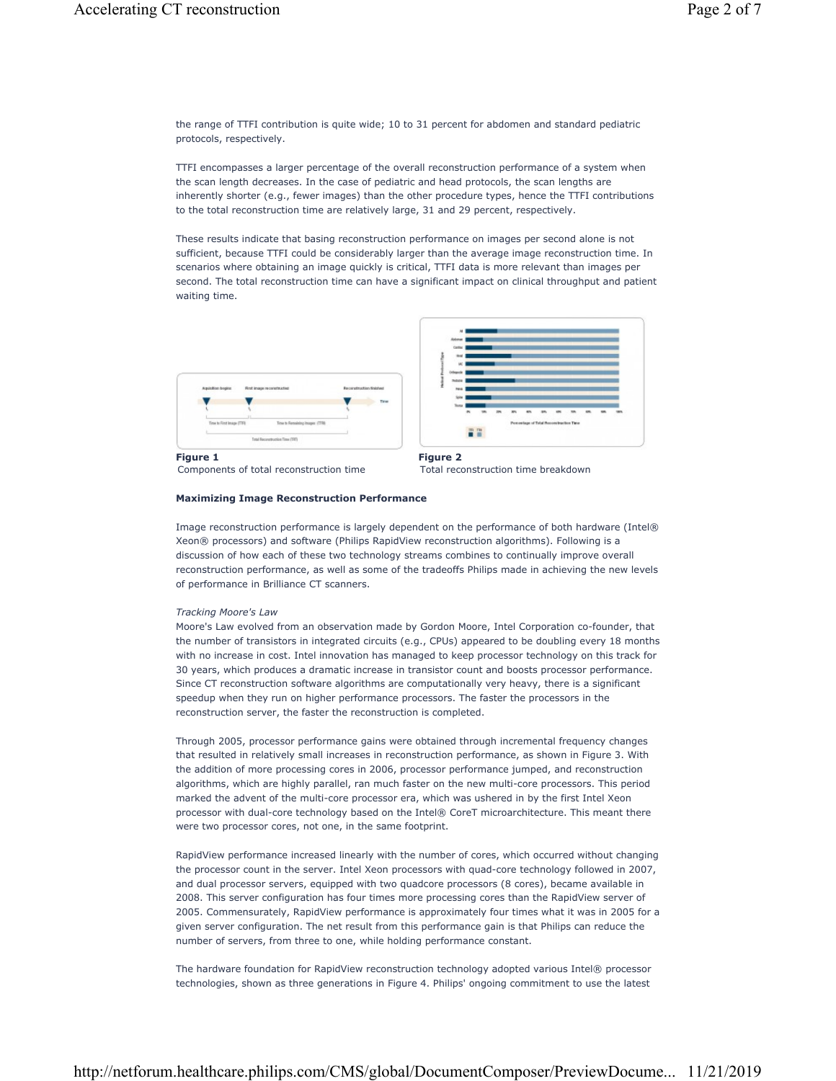the range of TTFI contribution is quite wide; 10 to 31 percent for abdomen and standard pediatric protocols, respectively.

TTFI encompasses a larger percentage of the overall reconstruction performance of a system when the scan length decreases. In the case of pediatric and head protocols, the scan lengths are inherently shorter (e.g., fewer images) than the other procedure types, hence the TTFI contributions to the total reconstruction time are relatively large, 31 and 29 percent, respectively.

These results indicate that basing reconstruction performance on images per second alone is not sufficient, because TTFI could be considerably larger than the average image reconstruction time. In scenarios where obtaining an image quickly is critical, TTFI data is more relevant than images per second. The total reconstruction time can have a significant impact on clinical throughput and patient waiting time.



Components of total reconstruction time Total reconstruction time breakdown

#### Maximizing Image Reconstruction Performance

Image reconstruction performance is largely dependent on the performance of both hardware (Intel® Xeon® processors) and software (Philips RapidView reconstruction algorithms). Following is a discussion of how each of these two technology streams combines to continually improve overall reconstruction performance, as well as some of the tradeoffs Philips made in achieving the new levels of performance in Brilliance CT scanners.

#### Tracking Moore's Law

Moore's Law evolved from an observation made by Gordon Moore, Intel Corporation co-founder, that the number of transistors in integrated circuits (e.g., CPUs) appeared to be doubling every 18 months with no increase in cost. Intel innovation has managed to keep processor technology on this track for 30 years, which produces a dramatic increase in transistor count and boosts processor performance. Since CT reconstruction software algorithms are computationally very heavy, there is a significant speedup when they run on higher performance processors. The faster the processors in the reconstruction server, the faster the reconstruction is completed.

Through 2005, processor performance gains were obtained through incremental frequency changes that resulted in relatively small increases in reconstruction performance, as shown in Figure 3. With the addition of more processing cores in 2006, processor performance jumped, and reconstruction algorithms, which are highly parallel, ran much faster on the new multi-core processors. This period marked the advent of the multi-core processor era, which was ushered in by the first Intel Xeon processor with dual-core technology based on the Intel® CoreT microarchitecture. This meant there were two processor cores, not one, in the same footprint.

RapidView performance increased linearly with the number of cores, which occurred without changing the processor count in the server. Intel Xeon processors with quad-core technology followed in 2007, and dual processor servers, equipped with two quadcore processors (8 cores), became available in 2008. This server configuration has four times more processing cores than the RapidView server of 2005. Commensurately, RapidView performance is approximately four times what it was in 2005 for a given server configuration. The net result from this performance gain is that Philips can reduce the number of servers, from three to one, while holding performance constant.

The hardware foundation for RapidView reconstruction technology adopted various Intel® processor technologies, shown as three generations in Figure 4. Philips' ongoing commitment to use the latest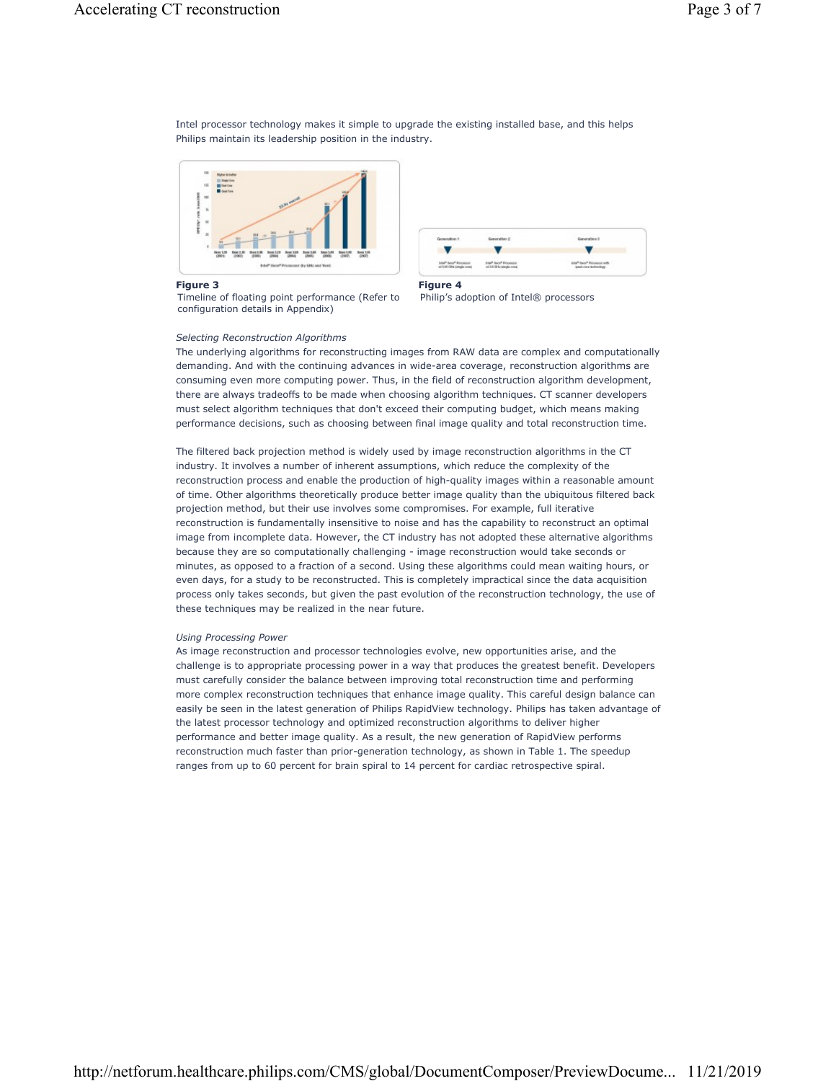Intel processor technology makes it simple to upgrade the existing installed base, and this helps Philips maintain its leadership position in the industry.



 $\mathbf{v}$ Small back<sup>4</sup> it **STAPP Direct<sup>or</sup> Processor** 

Figure 3 **Figure 4** 

Timeline of floating point performance (Refer to configuration details in Appendix)

Philip's adoption of Intel® processors

#### Selecting Reconstruction Algorithms

The underlying algorithms for reconstructing images from RAW data are complex and computationally demanding. And with the continuing advances in wide-area coverage, reconstruction algorithms are consuming even more computing power. Thus, in the field of reconstruction algorithm development, there are always tradeoffs to be made when choosing algorithm techniques. CT scanner developers must select algorithm techniques that don't exceed their computing budget, which means making performance decisions, such as choosing between final image quality and total reconstruction time.

The filtered back projection method is widely used by image reconstruction algorithms in the CT industry. It involves a number of inherent assumptions, which reduce the complexity of the reconstruction process and enable the production of high-quality images within a reasonable amount of time. Other algorithms theoretically produce better image quality than the ubiquitous filtered back projection method, but their use involves some compromises. For example, full iterative reconstruction is fundamentally insensitive to noise and has the capability to reconstruct an optimal image from incomplete data. However, the CT industry has not adopted these alternative algorithms because they are so computationally challenging - image reconstruction would take seconds or minutes, as opposed to a fraction of a second. Using these algorithms could mean waiting hours, or even days, for a study to be reconstructed. This is completely impractical since the data acquisition process only takes seconds, but given the past evolution of the reconstruction technology, the use of these techniques may be realized in the near future.

#### Using Processing Power

As image reconstruction and processor technologies evolve, new opportunities arise, and the challenge is to appropriate processing power in a way that produces the greatest benefit. Developers must carefully consider the balance between improving total reconstruction time and performing more complex reconstruction techniques that enhance image quality. This careful design balance can easily be seen in the latest generation of Philips RapidView technology. Philips has taken advantage of the latest processor technology and optimized reconstruction algorithms to deliver higher performance and better image quality. As a result, the new generation of RapidView performs reconstruction much faster than prior-generation technology, as shown in Table 1. The speedup ranges from up to 60 percent for brain spiral to 14 percent for cardiac retrospective spiral.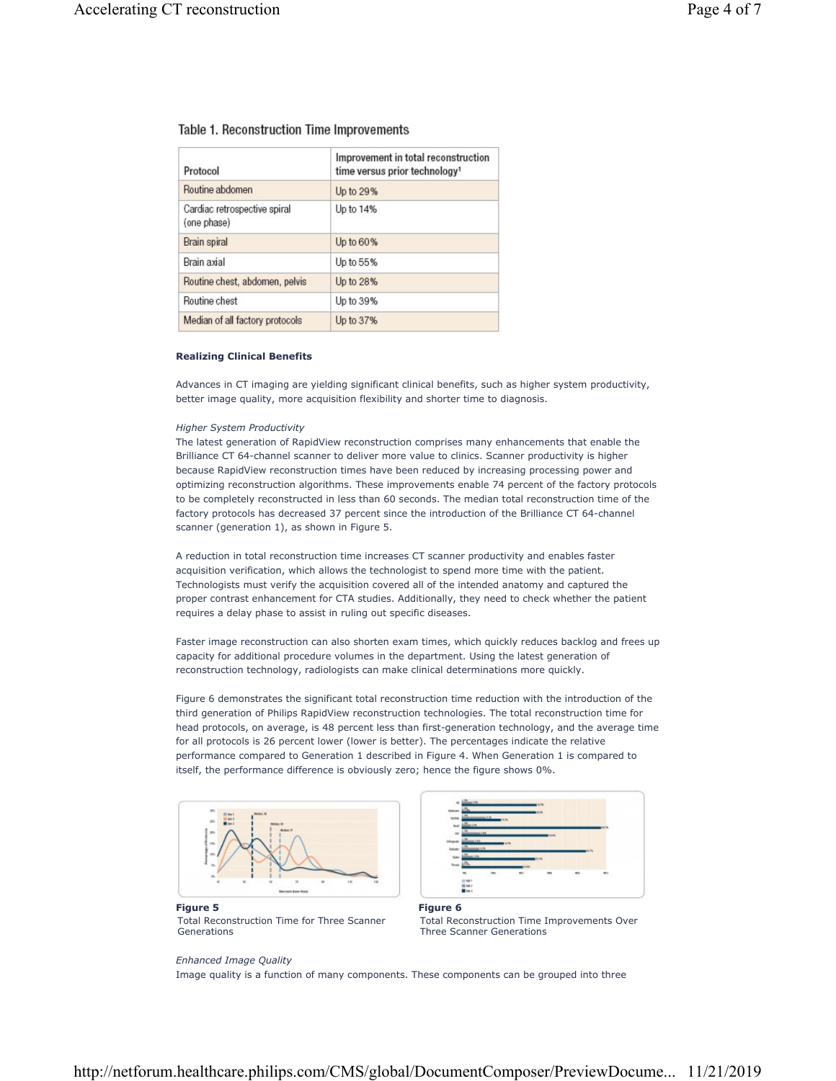| Table 1. Reconstruction Time Improvements |  |
|-------------------------------------------|--|
|-------------------------------------------|--|

| Protocol                                    | Improvement in total reconstruction<br>time versus prior technology <sup>1</sup> |  |  |
|---------------------------------------------|----------------------------------------------------------------------------------|--|--|
| Routine abdomen                             | Up to 29%                                                                        |  |  |
| Cardiac retrospective spiral<br>(one phase) | Up to 14%                                                                        |  |  |
| Brain spiral                                | Up to 60%                                                                        |  |  |
| Brain axial                                 | Up to 55%                                                                        |  |  |
| Routine chest, abdomen, pelvis              | Up to 28%                                                                        |  |  |
| Routine chest                               | Up to 39%                                                                        |  |  |
| Median of all factory protocols             | Up to 37%                                                                        |  |  |

#### Realizing Clinical Benefits

Advances in CT imaging are yielding significant clinical benefits, such as higher system productivity, better image quality, more acquisition flexibility and shorter time to diagnosis.

#### Higher System Productivity

The latest generation of RapidView reconstruction comprises many enhancements that enable the Brilliance CT 64-channel scanner to deliver more value to clinics. Scanner productivity is higher because RapidView reconstruction times have been reduced by increasing processing power and optimizing reconstruction algorithms. These improvements enable 74 percent of the factory protocols to be completely reconstructed in less than 60 seconds. The median total reconstruction time of the factory protocols has decreased 37 percent since the introduction of the Brilliance CT 64-channel scanner (generation 1), as shown in Figure 5.

A reduction in total reconstruction time increases CT scanner productivity and enables faster acquisition verification, which allows the technologist to spend more time with the patient. Technologists must verify the acquisition covered all of the intended anatomy and captured the proper contrast enhancement for CTA studies. Additionally, they need to check whether the patient requires a delay phase to assist in ruling out specific diseases.

Faster image reconstruction can also shorten exam times, which quickly reduces backlog and frees up capacity for additional procedure volumes in the department. Using the latest generation of reconstruction technology, radiologists can make clinical determinations more quickly.

Figure 6 demonstrates the significant total reconstruction time reduction with the introduction of the third generation of Philips RapidView reconstruction technologies. The total reconstruction time for head protocols, on average, is 48 percent less than first-generation technology, and the average time for all protocols is 26 percent lower (lower is better). The percentages indicate the relative performance compared to Generation 1 described in Figure 4. When Generation 1 is compared to itself, the performance difference is obviously zero; hence the figure shows 0%.



Total Reconstruction Time for Three Scanner Generations



Total Reconstruction Time Improvements Over Three Scanner Generations

### Enhanced Image Quality

Image quality is a function of many components. These components can be grouped into three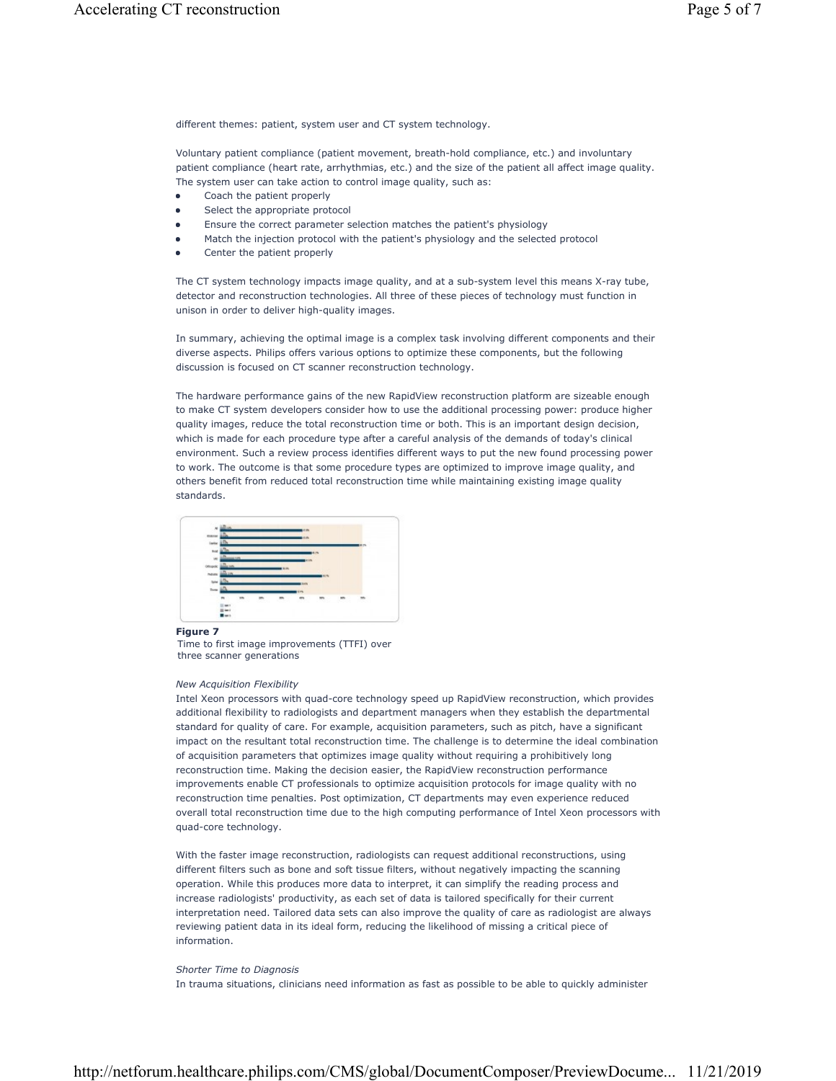different themes: patient, system user and CT system technology.

Voluntary patient compliance (patient movement, breath-hold compliance, etc.) and involuntary patient compliance (heart rate, arrhythmias, etc.) and the size of the patient all affect image quality. The system user can take action to control image quality, such as:

- **•** Coach the patient properly
- Select the appropriate protocol
- l Ensure the correct parameter selection matches the patient's physiology
- l Match the injection protocol with the patient's physiology and the selected protocol
- Center the patient properly

The CT system technology impacts image quality, and at a sub-system level this means X-ray tube, detector and reconstruction technologies. All three of these pieces of technology must function in unison in order to deliver high-quality images.

In summary, achieving the optimal image is a complex task involving different components and their diverse aspects. Philips offers various options to optimize these components, but the following discussion is focused on CT scanner reconstruction technology.

The hardware performance gains of the new RapidView reconstruction platform are sizeable enough to make CT system developers consider how to use the additional processing power: produce higher quality images, reduce the total reconstruction time or both. This is an important design decision, which is made for each procedure type after a careful analysis of the demands of today's clinical environment. Such a review process identifies different ways to put the new found processing power to work. The outcome is that some procedure types are optimized to improve image quality, and others benefit from reduced total reconstruction time while maintaining existing image quality standards.



Figure 7

Time to first image improvements (TTFI) over three scanner generations

#### New Acquisition Flexibility

Intel Xeon processors with quad-core technology speed up RapidView reconstruction, which provides additional flexibility to radiologists and department managers when they establish the departmental standard for quality of care. For example, acquisition parameters, such as pitch, have a significant impact on the resultant total reconstruction time. The challenge is to determine the ideal combination of acquisition parameters that optimizes image quality without requiring a prohibitively long reconstruction time. Making the decision easier, the RapidView reconstruction performance improvements enable CT professionals to optimize acquisition protocols for image quality with no reconstruction time penalties. Post optimization, CT departments may even experience reduced overall total reconstruction time due to the high computing performance of Intel Xeon processors with quad-core technology.

With the faster image reconstruction, radiologists can request additional reconstructions, using different filters such as bone and soft tissue filters, without negatively impacting the scanning operation. While this produces more data to interpret, it can simplify the reading process and increase radiologists' productivity, as each set of data is tailored specifically for their current interpretation need. Tailored data sets can also improve the quality of care as radiologist are always reviewing patient data in its ideal form, reducing the likelihood of missing a critical piece of information.

### Shorter Time to Diagnosis

In trauma situations, clinicians need information as fast as possible to be able to quickly administer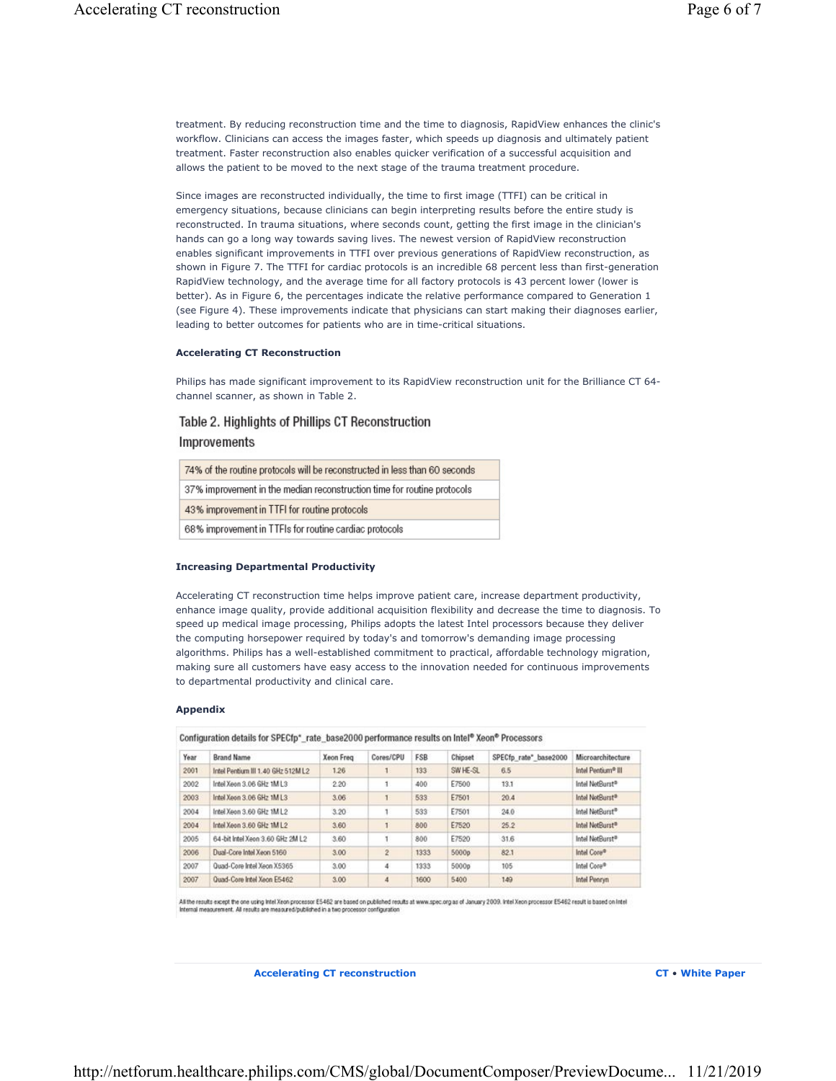treatment. By reducing reconstruction time and the time to diagnosis, RapidView enhances the clinic's workflow. Clinicians can access the images faster, which speeds up diagnosis and ultimately patient treatment. Faster reconstruction also enables quicker verification of a successful acquisition and allows the patient to be moved to the next stage of the trauma treatment procedure.

Since images are reconstructed individually, the time to first image (TTFI) can be critical in emergency situations, because clinicians can begin interpreting results before the entire study is reconstructed. In trauma situations, where seconds count, getting the first image in the clinician's hands can go a long way towards saving lives. The newest version of RapidView reconstruction enables significant improvements in TTFI over previous generations of RapidView reconstruction, as shown in Figure 7. The TTFI for cardiac protocols is an incredible 68 percent less than first-generation RapidView technology, and the average time for all factory protocols is 43 percent lower (lower is better). As in Figure 6, the percentages indicate the relative performance compared to Generation 1 (see Figure 4). These improvements indicate that physicians can start making their diagnoses earlier, leading to better outcomes for patients who are in time-critical situations.

#### Accelerating CT Reconstruction

Philips has made significant improvement to its RapidView reconstruction unit for the Brilliance CT 64 channel scanner, as shown in Table 2.

### Table 2. Highlights of Phillips CT Reconstruction Improvements

| 74% of the routine protocols will be reconstructed in less than 60 seconds |
|----------------------------------------------------------------------------|
| 37% improvement in the median reconstruction time for routine protocols    |
| 43% improvement in TTFI for routine protocols                              |
| 68% improvement in TTFIs for routine cardiac protocols                     |

#### Increasing Departmental Productivity

Accelerating CT reconstruction time helps improve patient care, increase department productivity, enhance image quality, provide additional acquisition flexibility and decrease the time to diagnosis. To speed up medical image processing, Philips adopts the latest Intel processors because they deliver the computing horsepower required by today's and tomorrow's demanding image processing algorithms. Philips has a well-established commitment to practical, affordable technology migration, making sure all customers have easy access to the innovation needed for continuous improvements to departmental productivity and clinical care.

#### Appendix

| Year | <b>Brand Name</b>                  | Xeon Freq | Cores/CPU      | <b>FSB</b> | Chipset  | SPECfp_rate*_base2000 | Microarchitecture           |
|------|------------------------------------|-----------|----------------|------------|----------|-----------------------|-----------------------------|
| 2001 | Intel Pentium III 1.40 GHz 512M L2 | 1.26      |                | 133        | SW HE-SL | 6.5                   | Intel Pentium® III          |
| 2002 | Intel Xeon 3.06 GHz 1M L3          | 2.20      |                | 400        | E7500    | 13.1                  | Intel NetBurst <sup>®</sup> |
| 2003 | Intel Xeon 3.06 GHz 1M L3          | 3.06      |                | 533        | E7501    | 20.4                  | Intel NetRurst®             |
| 2004 | Intel Xeon 3.60 GHz 1M L2          | 3.20      |                | 533        | E7501    | 24.0                  | Intel NetBurst®             |
| 2004 | Intel Xeon 3.60 GHz 1M L2          | 3.60      |                | 800        | E7520    | 25.2                  | Intel NetBurst <sup>®</sup> |
| 2005 | 64-bit Intel Xeon 3.60 GHz 2M L2   | 3.60      |                | 800        | E7520    | 31.6                  | Intel NetBurst®             |
| 2006 | Dual-Core Intel Xeon 5160          | 3.00      | $\overline{2}$ | 1333       | 5000p    | 82.1                  | Intel Core®                 |
| 2007 | Quad-Core Intel Xeon X5365         | 3.00      | 4              | 1333       | 5000p    | 105                   | Intel Core®                 |
| 2007 | Quad-Core Intel Xeon E5462         | 3.00      | A              | 1600       | 5400     | 149                   | Intel Penryn                |

Configuration details for SPECfp\*\_rate\_base2000 performance results on Intel® Xeon® Processors

All the results except the one using intel Xeon processor ES462 are based on published results at www.spec.org as of January 2009. Intel Xeon processor ES462 result is based on Intel<br>Internal measurement. All results are m

Accelerating CT reconstruction CT • White Paper